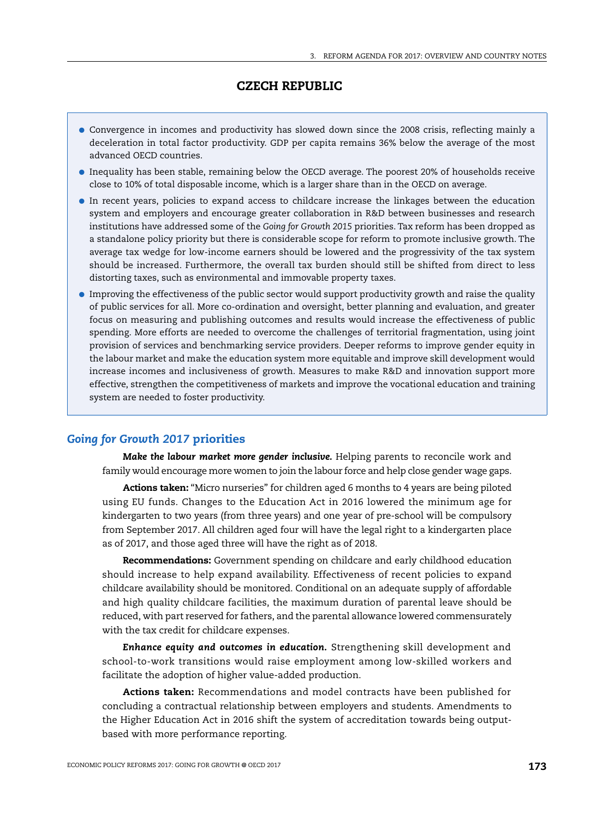- Convergence in incomes and productivity has slowed down since the 2008 crisis, reflecting mainly a deceleration in total factor productivity. GDP per capita remains 36% below the average of the most advanced OECD countries.
- Inequality has been stable, remaining below the OECD average. The poorest 20% of households receive close to 10% of total disposable income, which is a larger share than in the OECD on average.
- In recent years, policies to expand access to childcare increase the linkages between the education system and employers and encourage greater collaboration in R&D between businesses and research institutions have addressed some of the *Going for Growth 2015* priorities. Tax reform has been dropped as a standalone policy priority but there is considerable scope for reform to promote inclusive growth. The average tax wedge for low-income earners should be lowered and the progressivity of the tax system should be increased. Furthermore, the overall tax burden should still be shifted from direct to less distorting taxes, such as environmental and immovable property taxes.
- Improving the effectiveness of the public sector would support productivity growth and raise the quality of public services for all. More co-ordination and oversight, better planning and evaluation, and greater focus on measuring and publishing outcomes and results would increase the effectiveness of public spending. More efforts are needed to overcome the challenges of territorial fragmentation, using joint provision of services and benchmarking service providers. Deeper reforms to improve gender equity in the labour market and make the education system more equitable and improve skill development would increase incomes and inclusiveness of growth. Measures to make R&D and innovation support more effective, strengthen the competitiveness of markets and improve the vocational education and training system are needed to foster productivity.

#### *Going for Growth 2017* **priorities**

*Make the labour market more gender inclusive.* Helping parents to reconcile work and family would encourage more women to join the labour force and help close gender wage gaps.

**Actions taken:** "Micro nurseries" for children aged 6 months to 4 years are being piloted using EU funds. Changes to the Education Act in 2016 lowered the minimum age for kindergarten to two years (from three years) and one year of pre-school will be compulsory from September 2017. All children aged four will have the legal right to a kindergarten place as of 2017, and those aged three will have the right as of 2018.

**Recommendations:** Government spending on childcare and early childhood education should increase to help expand availability. Effectiveness of recent policies to expand childcare availability should be monitored. Conditional on an adequate supply of affordable and high quality childcare facilities, the maximum duration of parental leave should be reduced, with part reserved for fathers, and the parental allowance lowered commensurately with the tax credit for childcare expenses.

*Enhance equity and outcomes in education.* Strengthening skill development and school-to-work transitions would raise employment among low-skilled workers and facilitate the adoption of higher value-added production.

**Actions taken:** Recommendations and model contracts have been published for concluding a contractual relationship between employers and students. Amendments to the Higher Education Act in 2016 shift the system of accreditation towards being outputbased with more performance reporting.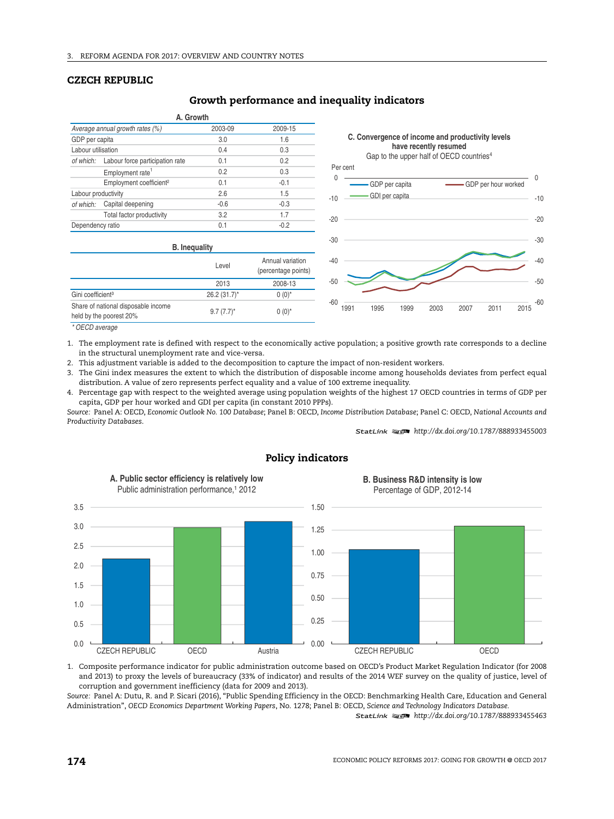| A. Growth                       |                                     |         |         |
|---------------------------------|-------------------------------------|---------|---------|
| Average annual growth rates (%) |                                     | 2003-09 | 2009-15 |
| GDP per capita                  |                                     | 3.0     | 1.6     |
| Labour utilisation              |                                     | 0.4     | 0.3     |
| of which:                       | Labour force participation rate     | 0.1     | 0.2     |
|                                 | Employment rate <sup>1</sup>        | 0.2     | 0.3     |
|                                 | Employment coefficient <sup>2</sup> | 0.1     | $-0.1$  |
| Labour productivity             |                                     | 2.6     | 1.5     |
|                                 | of which: Capital deepening         | $-0.6$  | $-0.3$  |
|                                 | Total factor productivity           | 3.2     | 1.7     |
| Dependency ratio                |                                     | 0.1     | $-0.2$  |
|                                 |                                     |         |         |

## **Growth performance and inequality indicators**

| <b>B.</b> Inequality                                           |                |                                         |  |  |
|----------------------------------------------------------------|----------------|-----------------------------------------|--|--|
|                                                                | Level          | Annual variation<br>(percentage points) |  |  |
|                                                                | 2013           | 2008-13                                 |  |  |
| Gini coefficient <sup>3</sup>                                  | $26.2(31.7)^*$ | $0(0)^*$                                |  |  |
| Share of national disposable income<br>held by the poorest 20% | $9.7(7.7)^*$   | $0(0)^*$                                |  |  |
|                                                                |                |                                         |  |  |



\* OECD average

1. The employment rate is defined with respect to the economically active population; a positive growth rate corresponds to a decline in the structural unemployment rate and vice-versa.

2. This adjustment variable is added to the decomposition to capture the impact of non-resident workers.

3. The Gini index measures the extent to which the distribution of disposable income among households deviates from perfect equal distribution. A value of zero represents perfect equality and a value of 100 extreme inequality.

4. Percentage gap with respect to the weighted average using population weights of the highest 17 OECD countries in terms of GDP per capita, GDP per hour worked and GDI per capita (in constant 2010 PPPs).

*Source:* Panel A: OECD, *Economic Outlook No. 100 Database*; Panel B: OECD, *Income Distribution Database*; Panel C: OECD, *National Accounts and Productivity Databases*.

1 2 *http://dx.doi.org/10.1787/888933455003*

### **Policy indicators**



1. Composite performance indicator for public administration outcome based on OECD's Product Market Regulation Indicator (for 2008 and 2013) to proxy the levels of bureaucracy (33% of indicator) and results of the 2014 WEF survey on the quality of justice, level of corruption and government inefficiency (data for 2009 and 2013).

*Source:* Panel A: Dutu, R. and P. Sicari (2016), "Public Spending Efficiency in the OECD: Benchmarking Health Care, Education and General Administration", *OECD Economics Department Working Papers*, No. 1278; Panel B: OECD, *Science and Technology Indicators Database.*

1 2 *http://dx.doi.org/10.1787/888933455463*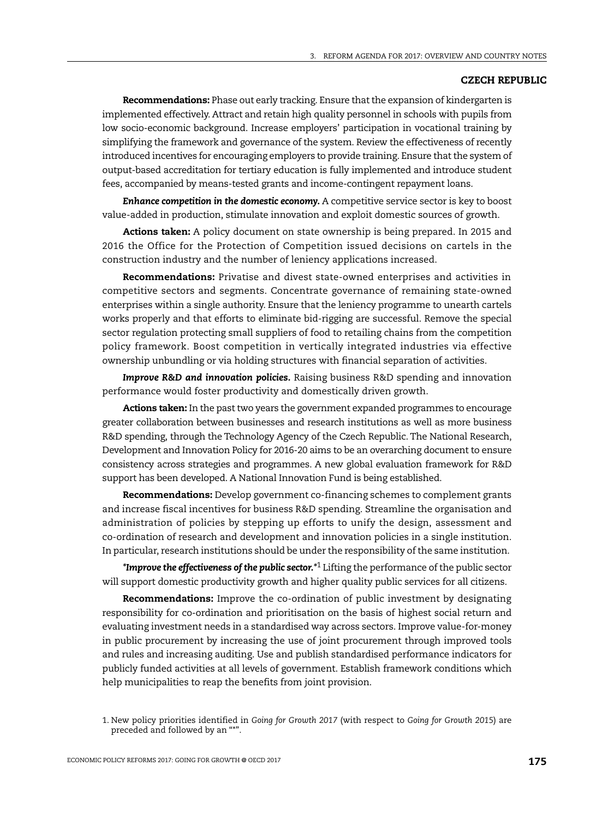**Recommendations:** Phase out early tracking. Ensure that the expansion of kindergarten is implemented effectively. Attract and retain high quality personnel in schools with pupils from low socio-economic background. Increase employers' participation in vocational training by simplifying the framework and governance of the system. Review the effectiveness of recently introduced incentives for encouraging employers to provide training. Ensure that the system of output-based accreditation for tertiary education is fully implemented and introduce student fees, accompanied by means-tested grants and income-contingent repayment loans.

*Enhance competition in the domestic economy.* A competitive service sector is key to boost value-added in production, stimulate innovation and exploit domestic sources of growth.

**Actions taken:** A policy document on state ownership is being prepared. In 2015 and 2016 the Office for the Protection of Competition issued decisions on cartels in the construction industry and the number of leniency applications increased.

**Recommendations:** Privatise and divest state-owned enterprises and activities in competitive sectors and segments. Concentrate governance of remaining state-owned enterprises within a single authority. Ensure that the leniency programme to unearth cartels works properly and that efforts to eliminate bid-rigging are successful. Remove the special sector regulation protecting small suppliers of food to retailing chains from the competition policy framework. Boost competition in vertically integrated industries via effective ownership unbundling or via holding structures with financial separation of activities.

*Improve R&D and innovation policies.* Raising business R&D spending and innovation performance would foster productivity and domestically driven growth.

**Actions taken:** In the past two years the government expanded programmes to encourage greater collaboration between businesses and research institutions as well as more business R&D spending, through the Technology Agency of the Czech Republic. The National Research, Development and Innovation Policy for 2016-20 aims to be an overarching document to ensure consistency across strategies and programmes. A new global evaluation framework for R&D support has been developed. A National Innovation Fund is being established.

**Recommendations:** Develop government co-financing schemes to complement grants and increase fiscal incentives for business R&D spending. Streamline the organisation and administration of policies by stepping up efforts to unify the design, assessment and co-ordination of research and development and innovation policies in a single institution. In particular, research institutions should be under the responsibility of the same institution.

*\*Improve the effectiveness of the public sector.\**<sup>1</sup> Lifting the performance of the public sector will support domestic productivity growth and higher quality public services for all citizens.

**Recommendations:** Improve the co-ordination of public investment by designating responsibility for co-ordination and prioritisation on the basis of highest social return and evaluating investment needs in a standardised way across sectors. Improve value-for-money in public procurement by increasing the use of joint procurement through improved tools and rules and increasing auditing. Use and publish standardised performance indicators for publicly funded activities at all levels of government. Establish framework conditions which help municipalities to reap the benefits from joint provision.

<sup>1.</sup> New policy priorities identified in *Going for Growth 2017* (with respect to *Going for Growth 2015*) are preceded and followed by an "\*".